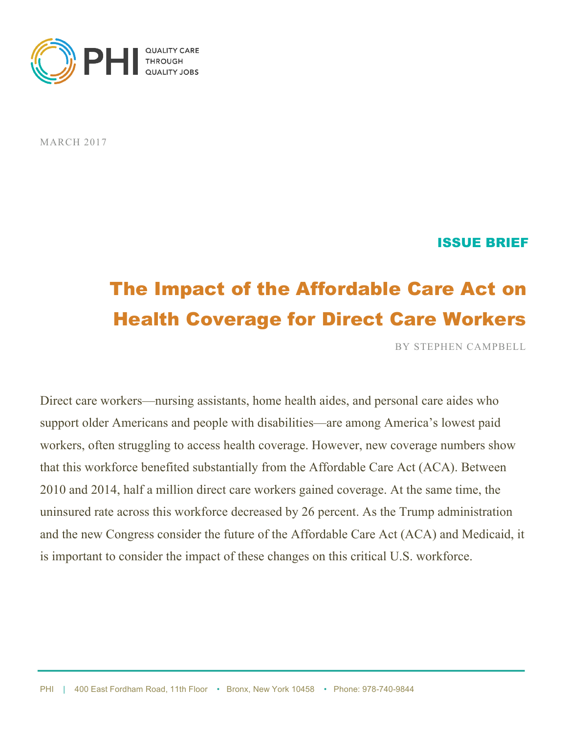

MARCH 2017

#### ISSUE BRIEF

# The Impact of the Affordable Care Act on Health Coverage for Direct Care Workers

BY STEPHEN CAMPBELL

Direct care workers—nursing assistants, home health aides, and personal care aides who support older Americans and people with disabilities—are among America's lowest paid workers, often struggling to access health coverage. However, new coverage numbers show that this workforce benefited substantially from the Affordable Care Act (ACA). Between 2010 and 2014, half a million direct care workers gained coverage. At the same time, the uninsured rate across this workforce decreased by 26 percent. As the Trump administration and the new Congress consider the future of the Affordable Care Act (ACA) and Medicaid, it is important to consider the impact of these changes on this critical U.S. workforce.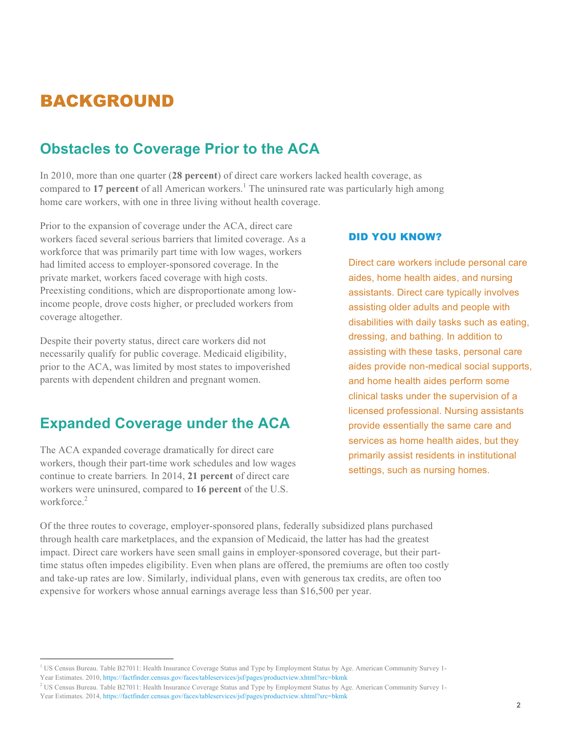### BACKGROUND

### **Obstacles to Coverage Prior to the ACA**

In 2010, more than one quarter (**28 percent**) of direct care workers lacked health coverage, as compared to 17 percent of all American workers.<sup>1</sup> The uninsured rate was particularly high among home care workers, with one in three living without health coverage.

Prior to the expansion of coverage under the ACA, direct care workers faced several serious barriers that limited coverage. As a workforce that was primarily part time with low wages, workers had limited access to employer-sponsored coverage. In the private market, workers faced coverage with high costs. Preexisting conditions, which are disproportionate among lowincome people, drove costs higher, or precluded workers from coverage altogether.

Despite their poverty status, direct care workers did not necessarily qualify for public coverage. Medicaid eligibility, prior to the ACA, was limited by most states to impoverished parents with dependent children and pregnant women.

### **Expanded Coverage under the ACA**

The ACA expanded coverage dramatically for direct care workers, though their part-time work schedules and low wages continue to create barriers*.* In 2014, **21 percent** of direct care workers were uninsured, compared to **16 percent** of the U.S. workforce<sup>2</sup>

#### DID YOU KNOW?

Direct care workers include personal care aides, home health aides, and nursing assistants. Direct care typically involves assisting older adults and people with disabilities with daily tasks such as eating, dressing, and bathing. In addition to assisting with these tasks, personal care aides provide non-medical social supports, and home health aides perform some clinical tasks under the supervision of a licensed professional. Nursing assistants provide essentially the same care and services as home health aides, but they primarily assist residents in institutional settings, such as nursing homes.

Of the three routes to coverage, employer-sponsored plans, federally subsidized plans purchased through health care marketplaces, and the expansion of Medicaid, the latter has had the greatest impact. Direct care workers have seen small gains in employer-sponsored coverage, but their parttime status often impedes eligibility. Even when plans are offered, the premiums are often too costly and take-up rates are low. Similarly, individual plans, even with generous tax credits, are often too expensive for workers whose annual earnings average less than \$16,500 per year.

<sup>&</sup>lt;sup>1</sup> US Census Bureau. Table B27011: Health Insurance Coverage Status and Type by Employment Status by Age. American Community Survey 1-

Year Estimates. 2010, https://factfinder.census.gov/faces/tableservices/jsf/pages/productview.xhtml?src=bkmk

<sup>&</sup>lt;sup>2</sup> US Census Bureau. Table B27011: Health Insurance Coverage Status and Type by Employment Status by Age. American Community Survey 1-

Year Estimates. 2014, https://factfinder.census.gov/faces/tableservices/jsf/pages/productview.xhtml?src=bkmk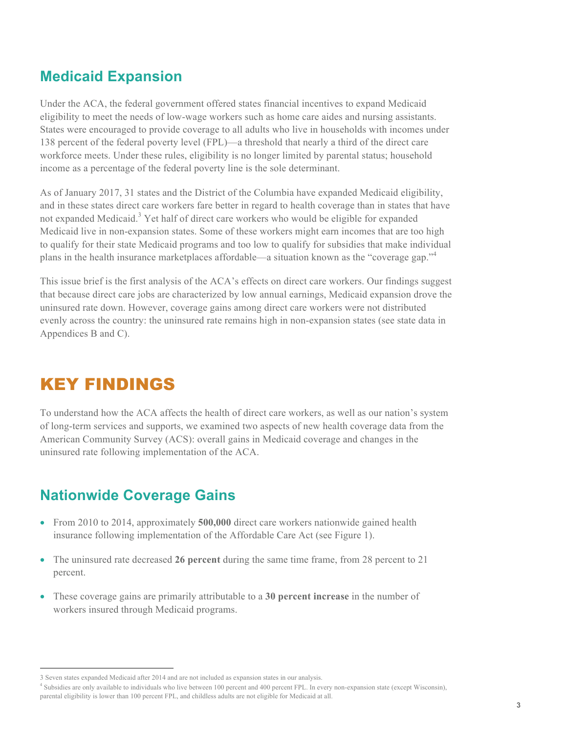### **Medicaid Expansion**

Under the ACA, the federal government offered states financial incentives to expand Medicaid eligibility to meet the needs of low-wage workers such as home care aides and nursing assistants. States were encouraged to provide coverage to all adults who live in households with incomes under 138 percent of the federal poverty level (FPL)—a threshold that nearly a third of the direct care workforce meets. Under these rules, eligibility is no longer limited by parental status; household income as a percentage of the federal poverty line is the sole determinant.

As of January 2017, 31 states and the District of the Columbia have expanded Medicaid eligibility, and in these states direct care workers fare better in regard to health coverage than in states that have not expanded Medicaid.<sup>3</sup> Yet half of direct care workers who would be eligible for expanded Medicaid live in non-expansion states. Some of these workers might earn incomes that are too high to qualify for their state Medicaid programs and too low to qualify for subsidies that make individual plans in the health insurance marketplaces affordable—a situation known as the "coverage gap."<sup>4</sup>

This issue brief is the first analysis of the ACA's effects on direct care workers. Our findings suggest that because direct care jobs are characterized by low annual earnings, Medicaid expansion drove the uninsured rate down. However, coverage gains among direct care workers were not distributed evenly across the country: the uninsured rate remains high in non-expansion states (see state data in Appendices B and C).

### KEY FINDINGS

To understand how the ACA affects the health of direct care workers, as well as our nation's system of long-term services and supports, we examined two aspects of new health coverage data from the American Community Survey (ACS): overall gains in Medicaid coverage and changes in the uninsured rate following implementation of the ACA.

### **Nationwide Coverage Gains**

- From 2010 to 2014, approximately **500,000** direct care workers nationwide gained health insurance following implementation of the Affordable Care Act (see Figure 1).
- The uninsured rate decreased **26 percent** during the same time frame, from 28 percent to 21 percent.
- These coverage gains are primarily attributable to a **30 percent increase** in the number of workers insured through Medicaid programs.

<sup>4</sup> Subsidies are only available to individuals who live between 100 percent and 400 percent FPL. In every non-expansion state (except Wisconsin), parental eligibility is lower than 100 percent FPL, and childless adults are not eligible for Medicaid at all.

 <sup>3</sup> Seven states expanded Medicaid after 2014 and are not included as expansion states in our analysis.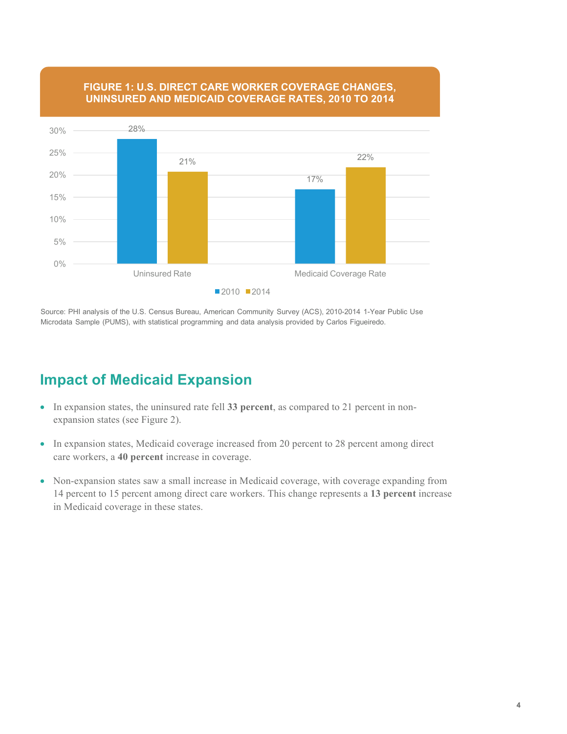

#### **FIGURE 1: U.S. DIRECT CARE WORKER COVERAGE CHANGES, UNINSURED AND MEDICAID COVERAGE RATES, 2010 TO 2014**

Source: PHI analysis of the U.S. Census Bureau, American Community Survey (ACS), 2010-2014 1-Year Public Use Microdata Sample (PUMS), with statistical programming and data analysis provided by Carlos Figueiredo.

### **Impact of Medicaid Expansion**

- In expansion states, the uninsured rate fell **33 percent**, as compared to 21 percent in nonexpansion states (see Figure 2).
- In expansion states, Medicaid coverage increased from 20 percent to 28 percent among direct care workers, a **40 percent** increase in coverage.
- Non-expansion states saw a small increase in Medicaid coverage, with coverage expanding from 14 percent to 15 percent among direct care workers. This change represents a **13 percent** increase in Medicaid coverage in these states.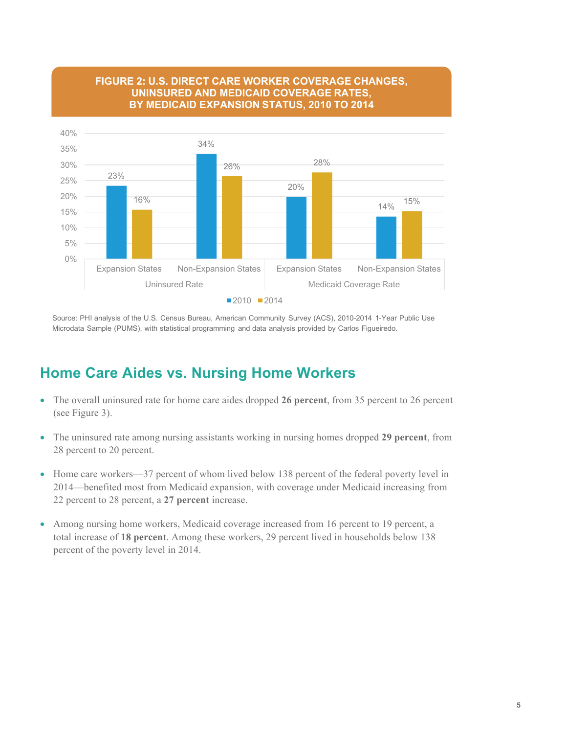

#### **FIGURE 2: U.S. DIRECT CARE WORKER COVERAGE CHANGES, UNINSURED AND MEDICAID COVERAGE RATES, BY MEDICAID EXPANSION STATUS, 2010 TO 2014**

Source: PHI analysis of the U.S. Census Bureau, American Community Survey (ACS), 2010-2014 1-Year Public Use Microdata Sample (PUMS), with statistical programming and data analysis provided by Carlos Figueiredo.

### **Home Care Aides vs. Nursing Home Workers**

- The overall uninsured rate for home care aides dropped **26 percent**, from 35 percent to 26 percent (see Figure 3).
- The uninsured rate among nursing assistants working in nursing homes dropped **29 percent**, from 28 percent to 20 percent.
- Home care workers—37 percent of whom lived below 138 percent of the federal poverty level in 2014—benefited most from Medicaid expansion, with coverage under Medicaid increasing from 22 percent to 28 percent, a **27 percent** increase.
- Among nursing home workers, Medicaid coverage increased from 16 percent to 19 percent, a total increase of **18 percent**. Among these workers, 29 percent lived in households below 138 percent of the poverty level in 2014.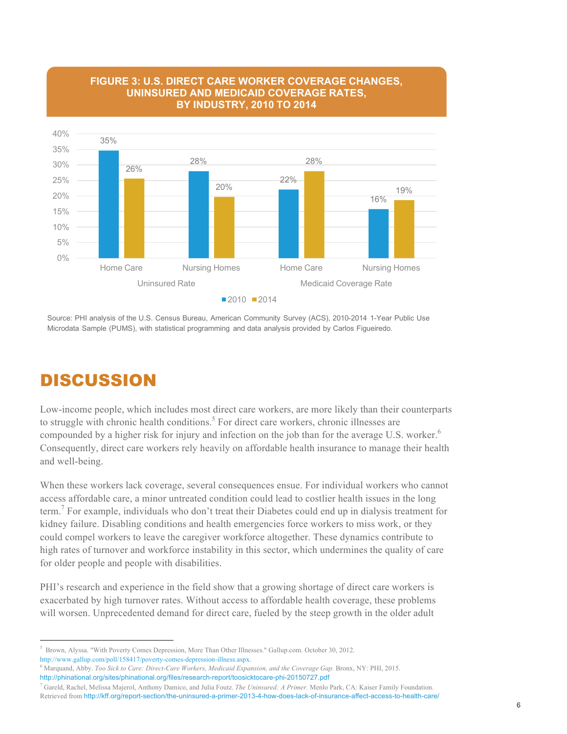

#### **FIGURE 3: U.S. DIRECT CARE WORKER COVERAGE CHANGES, UNINSURED AND MEDICAID COVERAGE RATES, BY INDUSTRY, 2010 TO 2014**

Source: PHI analysis of the U.S. Census Bureau, American Community Survey (ACS), 2010-2014 1-Year Public Use Microdata Sample (PUMS), with statistical programming and data analysis provided by Carlos Figueiredo.

### DISCUSSION

Low-income people, which includes most direct care workers, are more likely than their counterparts to struggle with chronic health conditions.<sup>5</sup> For direct care workers, chronic illnesses are compounded by a higher risk for injury and infection on the job than for the average U.S. worker.<sup>6</sup> Consequently, direct care workers rely heavily on affordable health insurance to manage their health and well-being.

When these workers lack coverage, several consequences ensue. For individual workers who cannot access affordable care, a minor untreated condition could lead to costlier health issues in the long term. <sup>7</sup> For example, individuals who don't treat their Diabetes could end up in dialysis treatment for kidney failure. Disabling conditions and health emergencies force workers to miss work, or they could compel workers to leave the caregiver workforce altogether. These dynamics contribute to high rates of turnover and workforce instability in this sector, which undermines the quality of care for older people and people with disabilities.

PHI's research and experience in the field show that a growing shortage of direct care workers is exacerbated by high turnover rates. Without access to affordable health coverage, these problems will worsen. Unprecedented demand for direct care, fueled by the steep growth in the older adult

 <sup>5</sup>  $<sup>5</sup>$  Brown, Alyssa. "With Poverty Comes Depression, More Than Other Illnesses." Gallup.com. October 30, 2012.</sup> http://www.gallup.com/poll/158417/poverty-comes-depression-illness.aspx.

<sup>&</sup>lt;sup>6</sup> Marquand, Abby. *Too Sick to Care: Direct-Care Workers, Medicaid Expansion, and the Coverage Gap. Bronx, NY: PHI, 2015.* http://phinational.org/sites/phinational.org/files/research-report/toosicktocare-phi-20150727.pdf

<sup>7</sup> Gareld, Rachel, Melissa Majerol, Anthony Damico, and Julia Foutz. *The Uninsured: A Primer.* Menlo Park, CA: Kaiser Family Foundation. Retrieved from http://kff.org/report-section/the-uninsured-a-primer-2013-4-how-does-lack-of-insurance-affect-access-to-health-care/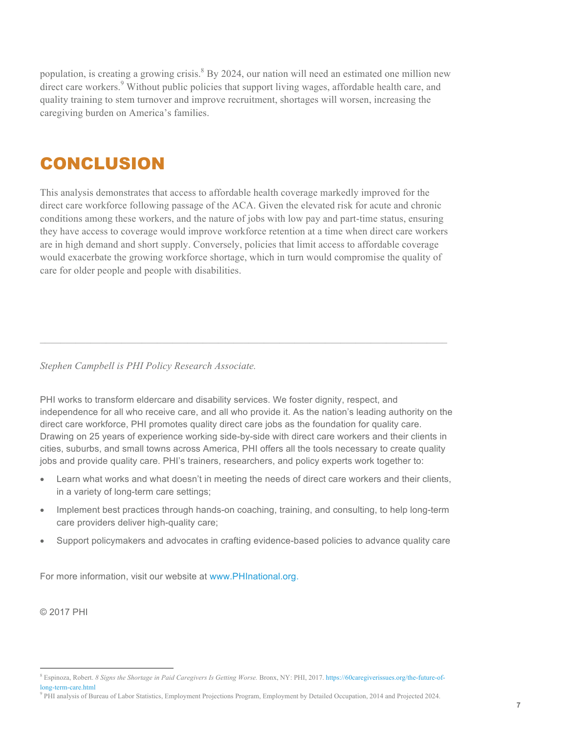population, is creating a growing crisis.<sup>8</sup> By 2024, our nation will need an estimated one million new direct care workers.<sup>9</sup> Without public policies that support living wages, affordable health care, and quality training to stem turnover and improve recruitment, shortages will worsen, increasing the caregiving burden on America's families.

### CONCLUSION

This analysis demonstrates that access to affordable health coverage markedly improved for the direct care workforce following passage of the ACA. Given the elevated risk for acute and chronic conditions among these workers, and the nature of jobs with low pay and part-time status, ensuring they have access to coverage would improve workforce retention at a time when direct care workers are in high demand and short supply. Conversely, policies that limit access to affordable coverage would exacerbate the growing workforce shortage, which in turn would compromise the quality of care for older people and people with disabilities.

*Stephen Campbell is PHI Policy Research Associate.*

PHI works to transform eldercare and disability services. We foster dignity, respect, and independence for all who receive care, and all who provide it. As the nation's leading authority on the direct care workforce, PHI promotes quality direct care jobs as the foundation for quality care. Drawing on 25 years of experience working side-by-side with direct care workers and their clients in cities, suburbs, and small towns across America, PHI offers all the tools necessary to create quality jobs and provide quality care. PHI's trainers, researchers, and policy experts work together to:

––––––––––––––––––––––––––––––––––––––––––––––––––––––––––––––––––––––––––––––––

- Learn what works and what doesn't in meeting the needs of direct care workers and their clients, in a variety of long-term care settings;
- Implement best practices through hands-on coaching, training, and consulting, to help long-term care providers deliver high-quality care;
- Support policymakers and advocates in crafting evidence-based policies to advance quality care

For more information, visit our website at www.PHInational.org.

© 2017 PHI

 <sup>8</sup> Espinoza, Robert. *8 Signs the Shortage in Paid Caregivers Is Getting Worse.* Bronx, NY: PHI, 2017. https://60caregiverissues.org/the-future-oflong-term-care.html

<sup>&</sup>lt;sup>9</sup> PHI analysis of Bureau of Labor Statistics, Employment Projections Program, Employment by Detailed Occupation, 2014 and Projected 2024.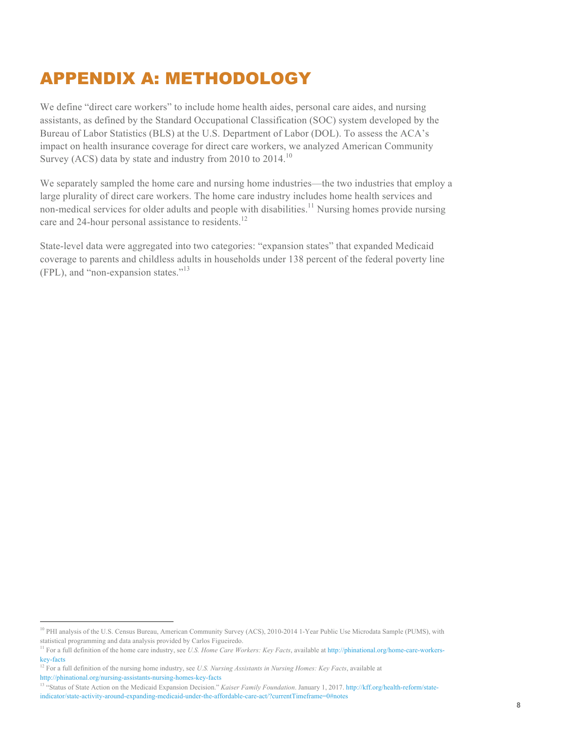## APPENDIX A: METHODOLOGY

We define "direct care workers" to include home health aides, personal care aides, and nursing assistants, as defined by the Standard Occupational Classification (SOC) system developed by the Bureau of Labor Statistics (BLS) at the U.S. Department of Labor (DOL). To assess the ACA's impact on health insurance coverage for direct care workers, we analyzed American Community Survey (ACS) data by state and industry from 2010 to  $2014$ .<sup>10</sup>

We separately sampled the home care and nursing home industries—the two industries that employ a large plurality of direct care workers. The home care industry includes home health services and non-medical services for older adults and people with disabilities.<sup>11</sup> Nursing homes provide nursing care and 24-hour personal assistance to residents.<sup>12</sup>

State-level data were aggregated into two categories: "expansion states" that expanded Medicaid coverage to parents and childless adults in households under 138 percent of the federal poverty line (FPL), and "non-expansion states."13

<sup>&</sup>lt;sup>10</sup> PHI analysis of the U.S. Census Bureau, American Community Survey (ACS), 2010-2014 1-Year Public Use Microdata Sample (PUMS), with statistical programming and data analysis provided by Carlos Figueiredo.

<sup>&</sup>lt;sup>11</sup> For a full definition of the home care industry, see *U.S. Home Care Workers: Key Facts*, available at http://phinational.org/home-care-workerskey-facts

<sup>&</sup>lt;sup>12</sup> For a full definition of the nursing home industry, see *U.S. Nursing Assistants in Nursing Homes: Key Facts*, available at http://phinational.org/nursing-assistants-nursing-homes-key-facts

<sup>13</sup> "Status of State Action on the Medicaid Expansion Decision." *Kaiser Family Foundation*. January 1, 2017. http://kff.org/health-reform/stateindicator/state-activity-around-expanding-medicaid-under-the-affordable-care-act/?currentTimeframe=0#notes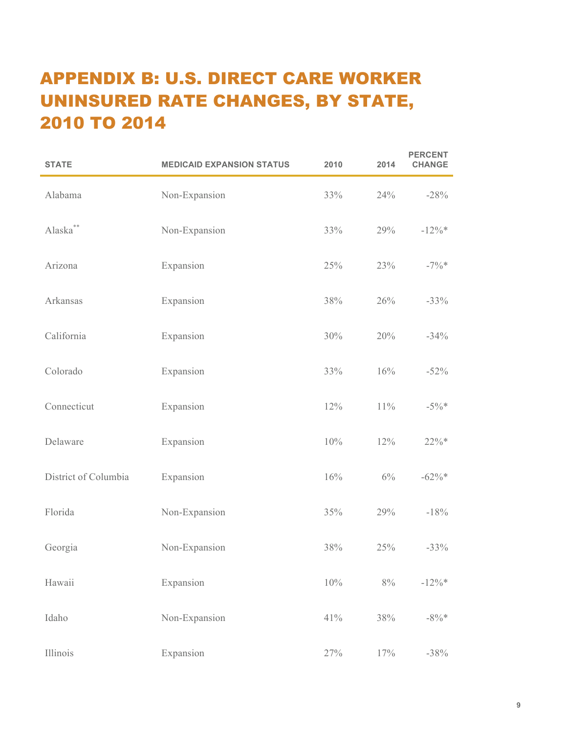# APPENDIX B: U.S. DIRECT CARE WORKER UNINSURED RATE CHANGES, BY STATE, 2010 TO 2014

| <b>STATE</b>         | <b>MEDICAID EXPANSION STATUS</b> | 2010 | 2014   | <b>PERCENT</b><br><b>CHANGE</b> |
|----------------------|----------------------------------|------|--------|---------------------------------|
| Alabama              | Non-Expansion                    | 33%  | 24%    | $-28%$                          |
| Alaska**             | Non-Expansion                    | 33%  | 29%    | $-12\%*$                        |
| Arizona              | Expansion                        | 25%  | 23%    | $-7\%$ *                        |
| Arkansas             | Expansion                        | 38%  | 26%    | $-33%$                          |
| California           | Expansion                        | 30%  | 20%    | $-34%$                          |
| Colorado             | Expansion                        | 33%  | 16%    | $-52%$                          |
| Connecticut          | Expansion                        | 12%  | $11\%$ | $-5\%$ *                        |
| Delaware             | Expansion                        | 10%  | 12%    | $22\% *$                        |
| District of Columbia | Expansion                        | 16%  | $6\%$  | $-62\%*$                        |
| Florida              | Non-Expansion                    | 35%  | 29%    | $-18%$                          |
| Georgia              | Non-Expansion                    | 38%  | 25%    | $-33%$                          |
| Hawaii               | Expansion                        | 10%  | $8\%$  | $-12\%$ *                       |
| Idaho                | Non-Expansion                    | 41%  | 38%    | $-8\%*$                         |
| Illinois             | Expansion                        | 27%  | 17%    | $-38%$                          |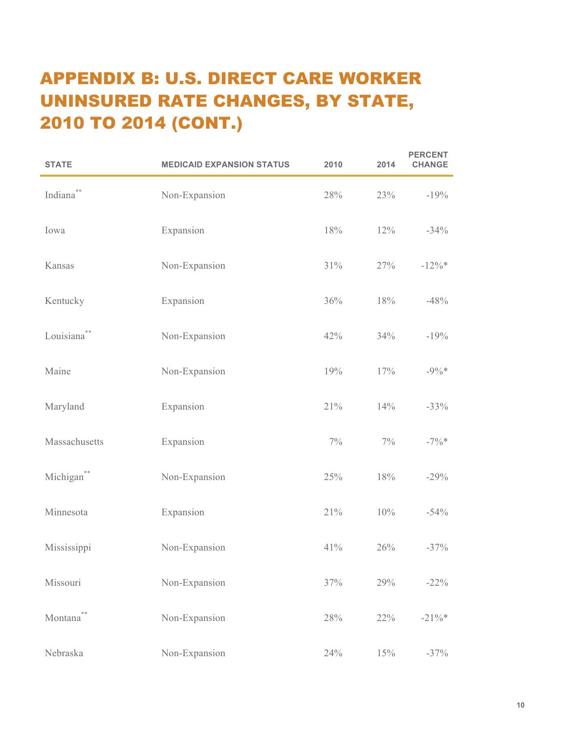# APPENDIX B: U.S. DIRECT CARE WORKER UNINSURED RATE CHANGES, BY STATE, 2010 TO 2014 (CONT.)

| <b>STATE</b>            | <b>MEDICAID EXPANSION STATUS</b> | 2010  | 2014  | <b>PERCENT</b><br><b>CHANGE</b> |
|-------------------------|----------------------------------|-------|-------|---------------------------------|
| Indiana**               | Non-Expansion                    | 28%   | 23%   | $-19%$                          |
| Iowa                    | Expansion                        | 18%   | 12%   | $-34%$                          |
| Kansas                  | Non-Expansion                    | 31%   | 27%   | $-12\%*$                        |
| Kentucky                | Expansion                        | 36%   | 18%   | $-48%$                          |
| Louisiana <sup>**</sup> | Non-Expansion                    | 42%   | 34%   | $-19%$                          |
| Maine                   | Non-Expansion                    | 19%   | 17%   | $-9\%*$                         |
| Maryland                | Expansion                        | 21%   | 14%   | $-33%$                          |
| Massachusetts           | Expansion                        | $7\%$ | $7\%$ | $-7\%$ *                        |
| Michigan <sup>**</sup>  | Non-Expansion                    | 25%   | 18%   | $-29%$                          |
| Minnesota               | Expansion                        | 21%   | 10%   | $-54%$                          |
| Mississippi             | Non-Expansion                    | 41%   | 26%   | $-37%$                          |
| Missouri                | Non-Expansion                    | 37%   | 29%   | $-22%$                          |
| Montana                 | Non-Expansion                    | 28%   | 22%   | $-21\%$ *                       |
| Nebraska                | Non-Expansion                    | 24%   | 15%   | $-37%$                          |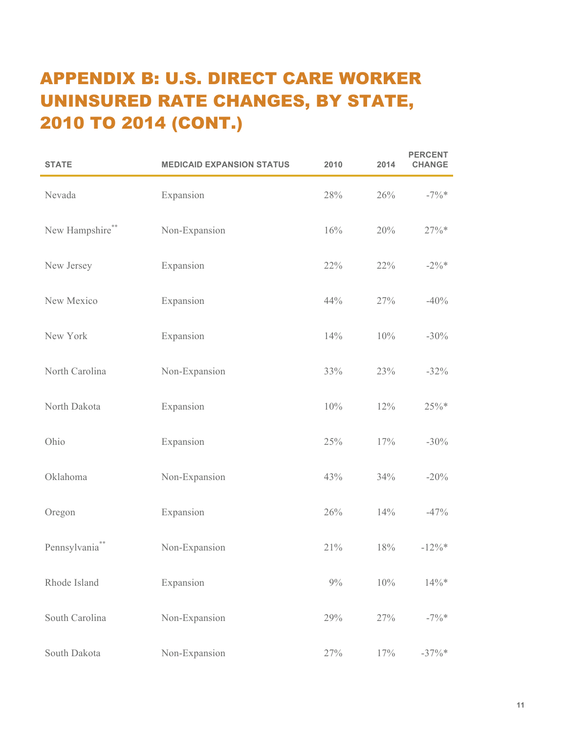# APPENDIX B: U.S. DIRECT CARE WORKER UNINSURED RATE CHANGES, BY STATE, 2010 TO 2014 (CONT.)

| <b>STATE</b>              | <b>MEDICAID EXPANSION STATUS</b> | 2010  | 2014 | <b>PERCENT</b><br><b>CHANGE</b> |
|---------------------------|----------------------------------|-------|------|---------------------------------|
| Nevada                    | Expansion                        | 28%   | 26%  | $-7\%$ *                        |
| New Hampshire**           | Non-Expansion                    | 16%   | 20%  | $27\% *$                        |
| New Jersey                | Expansion                        | 22%   | 22%  | $-2\%*$                         |
| New Mexico                | Expansion                        | 44%   | 27%  | $-40%$                          |
| New York                  | Expansion                        | 14%   | 10%  | $-30%$                          |
| North Carolina            | Non-Expansion                    | 33%   | 23%  | $-32%$                          |
| North Dakota              | Expansion                        | 10%   | 12%  | $25\%*$                         |
| Ohio                      | Expansion                        | 25%   | 17%  | $-30\%$                         |
| Oklahoma                  | Non-Expansion                    | 43%   | 34%  | $-20%$                          |
| Oregon                    | Expansion                        | 26%   | 14%  | $-47%$                          |
| Pennsylvania <sup>*</sup> | Non-Expansion                    | 21%   | 18%  | $-12\%$ *                       |
| Rhode Island              | Expansion                        | $9\%$ | 10%  | $14\% *$                        |
| South Carolina            | Non-Expansion                    | 29%   | 27%  | $-7\%$ *                        |
| South Dakota              | Non-Expansion                    | 27%   | 17%  | $-37\%$ *                       |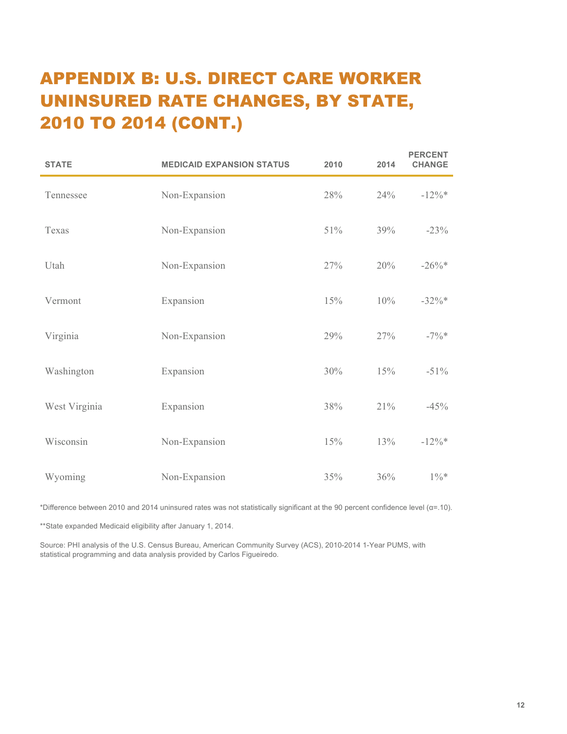# APPENDIX B: U.S. DIRECT CARE WORKER UNINSURED RATE CHANGES, BY STATE, 2010 TO 2014 (CONT.)

| <b>STATE</b>  | <b>MEDICAID EXPANSION STATUS</b> | 2010 | 2014 | <b>PERCENT</b><br><b>CHANGE</b> |
|---------------|----------------------------------|------|------|---------------------------------|
| Tennessee     | Non-Expansion                    | 28%  | 24%  | $-12\%*$                        |
| Texas         | Non-Expansion                    | 51%  | 39%  | $-23%$                          |
| Utah          | Non-Expansion                    | 27%  | 20%  | $-26\%*$                        |
| Vermont       | Expansion                        | 15%  | 10%  | $-32\%*$                        |
| Virginia      | Non-Expansion                    | 29%  | 27%  | $-7\%$ *                        |
| Washington    | Expansion                        | 30%  | 15%  | $-51\%$                         |
| West Virginia | Expansion                        | 38%  | 21%  | $-45%$                          |
| Wisconsin     | Non-Expansion                    | 15%  | 13%  | $-12\%*$                        |
| Wyoming       | Non-Expansion                    | 35%  | 36%  | $1\% *$                         |

\*Difference between 2010 and 2014 uninsured rates was not statistically significant at the 90 percent confidence level ( $\alpha$ =.10).

\*\*State expanded Medicaid eligibility after January 1, 2014.

Source: PHI analysis of the U.S. Census Bureau, American Community Survey (ACS), 2010-2014 1-Year PUMS, with statistical programming and data analysis provided by Carlos Figueiredo.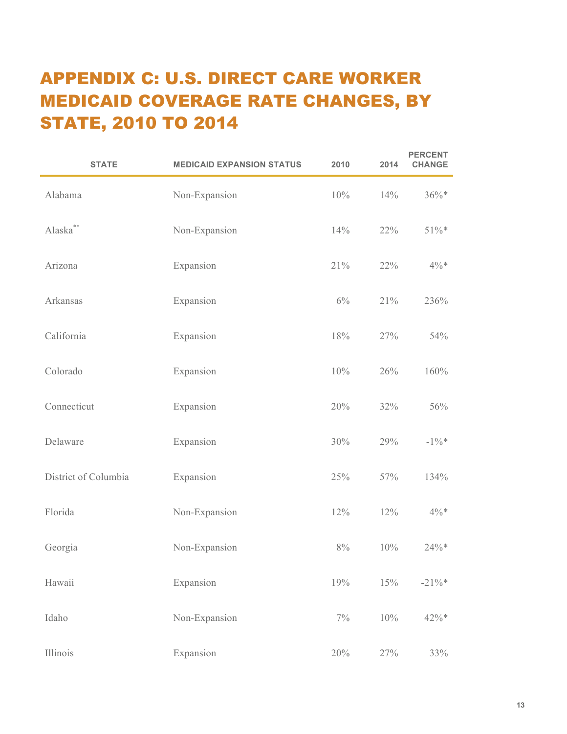## APPENDIX C: U.S. DIRECT CARE WORKER MEDICAID COVERAGE RATE CHANGES, BY STATE, 2010 TO 2014

| <b>STATE</b>           | <b>MEDICAID EXPANSION STATUS</b> | 2010  | 2014 | <b>PERCENT</b><br><b>CHANGE</b> |
|------------------------|----------------------------------|-------|------|---------------------------------|
| Alabama                | Non-Expansion                    | 10%   | 14%  | $36\% *$                        |
| $\mathbf{Alaska}^{**}$ | Non-Expansion                    | 14%   | 22%  | $51\% *$                        |
| Arizona                | Expansion                        | 21%   | 22%  | $4\% *$                         |
| Arkansas               | Expansion                        | $6\%$ | 21%  | 236%                            |
| California             | Expansion                        | 18%   | 27%  | 54%                             |
| Colorado               | Expansion                        | 10%   | 26%  | 160%                            |
| Connecticut            | Expansion                        | 20%   | 32%  | 56%                             |
| Delaware               | Expansion                        | 30%   | 29%  | $-1\%$ *                        |
| District of Columbia   | Expansion                        | 25%   | 57%  | 134%                            |
| Florida                | Non-Expansion                    | 12%   | 12%  | $4\% *$                         |
| Georgia                | Non-Expansion                    | $8\%$ | 10%  | 24%*                            |
| Hawaii                 | Expansion                        | 19%   | 15%  | $-21\%$ *                       |
| Idaho                  | Non-Expansion                    | $7\%$ | 10%  | 42%*                            |
| Illinois               | Expansion                        | 20%   | 27%  | 33%                             |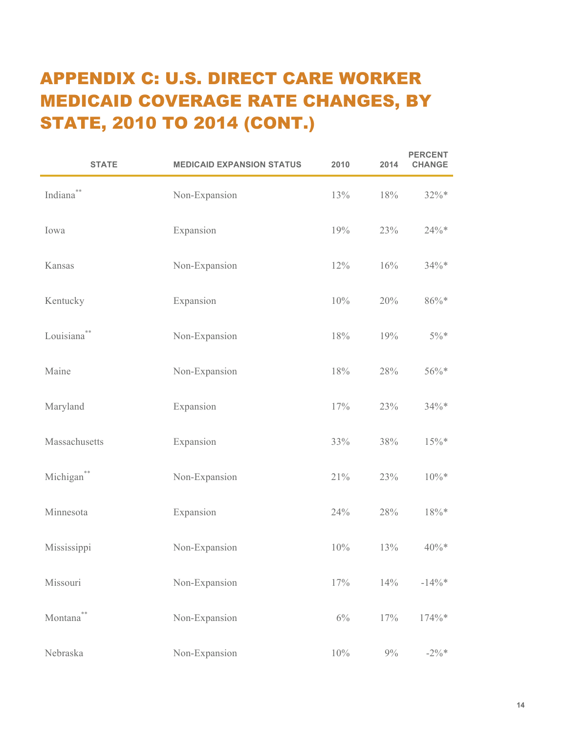# APPENDIX C: U.S. DIRECT CARE WORKER MEDICAID COVERAGE RATE CHANGES, BY STATE, 2010 TO 2014 (CONT.)

| <b>STATE</b>            | <b>MEDICAID EXPANSION STATUS</b> | 2010  | 2014  | <b>PERCENT</b><br><b>CHANGE</b> |
|-------------------------|----------------------------------|-------|-------|---------------------------------|
| Indiana <sup>*</sup>    | Non-Expansion                    | 13%   | 18%   | $32\%*$                         |
| Iowa                    | Expansion                        | 19%   | 23%   | $24\% *$                        |
| Kansas                  | Non-Expansion                    | 12%   | 16%   | $34\%*$                         |
| Kentucky                | Expansion                        | 10%   | 20%   | $86\% *$                        |
| Louisiana <sup>**</sup> | Non-Expansion                    | 18%   | 19%   | $5\%*$                          |
| Maine                   | Non-Expansion                    | 18%   | 28%   | 56%*                            |
| Maryland                | Expansion                        | 17%   | 23%   | $34\% *$                        |
| Massachusetts           | Expansion                        | 33%   | 38%   | $15\%*$                         |
| Michigan**              | Non-Expansion                    | 21%   | 23%   | $10\% *$                        |
| Minnesota               | Expansion                        | 24%   | 28%   | $18\% *$                        |
| Mississippi             | Non-Expansion                    | 10%   | 13%   | $40\%*$                         |
| Missouri                | Non-Expansion                    | 17%   | 14%   | $-14\%$ *                       |
| Montana <sup>®</sup>    | Non-Expansion                    | $6\%$ | 17%   | 174%*                           |
| Nebraska                | Non-Expansion                    | 10%   | $9\%$ | $-2\%*$                         |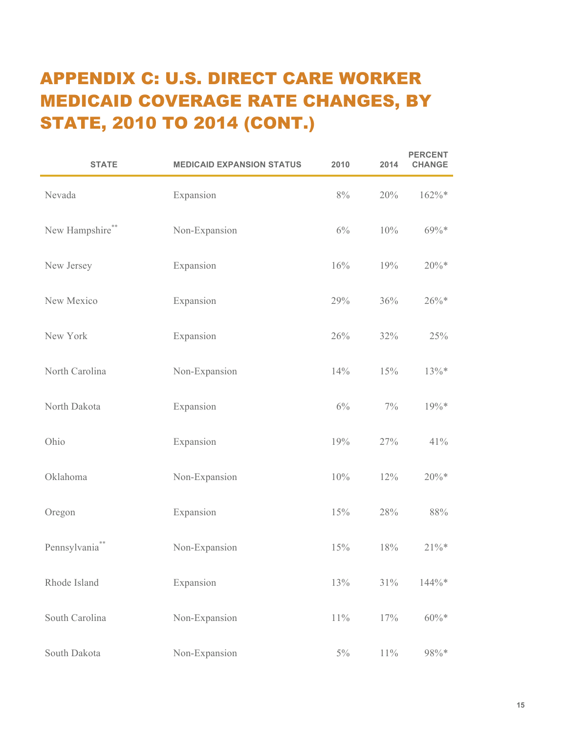# APPENDIX C: U.S. DIRECT CARE WORKER MEDICAID COVERAGE RATE CHANGES, BY STATE, 2010 TO 2014 (CONT.)

| <b>STATE</b>    | <b>MEDICAID EXPANSION STATUS</b> | 2010   | 2014   | <b>PERCENT</b><br><b>CHANGE</b> |
|-----------------|----------------------------------|--------|--------|---------------------------------|
| Nevada          | Expansion                        | 8%     | 20%    | 162%*                           |
| New Hampshire** | Non-Expansion                    | 6%     | 10%    | 69%*                            |
| New Jersey      | Expansion                        | 16%    | 19%    | $20\% *$                        |
| New Mexico      | Expansion                        | 29%    | 36%    | $26\%*$                         |
| New York        | Expansion                        | 26%    | 32%    | 25%                             |
| North Carolina  | Non-Expansion                    | 14%    | 15%    | 13%*                            |
| North Dakota    | Expansion                        | 6%     | $7\%$  | 19%*                            |
| Ohio            | Expansion                        | 19%    | 27%    | 41%                             |
| Oklahoma        | Non-Expansion                    | 10%    | 12%    | $20\% *$                        |
| Oregon          | Expansion                        | 15%    | 28%    | 88%                             |
| Pennsylvania**  | Non-Expansion                    | 15%    | 18%    | $21\% *$                        |
| Rhode Island    | Expansion                        | 13%    | 31%    | 144%*                           |
| South Carolina  | Non-Expansion                    | $11\%$ | 17%    | $60\% *$                        |
| South Dakota    | Non-Expansion                    | $5\%$  | $11\%$ | 98%*                            |